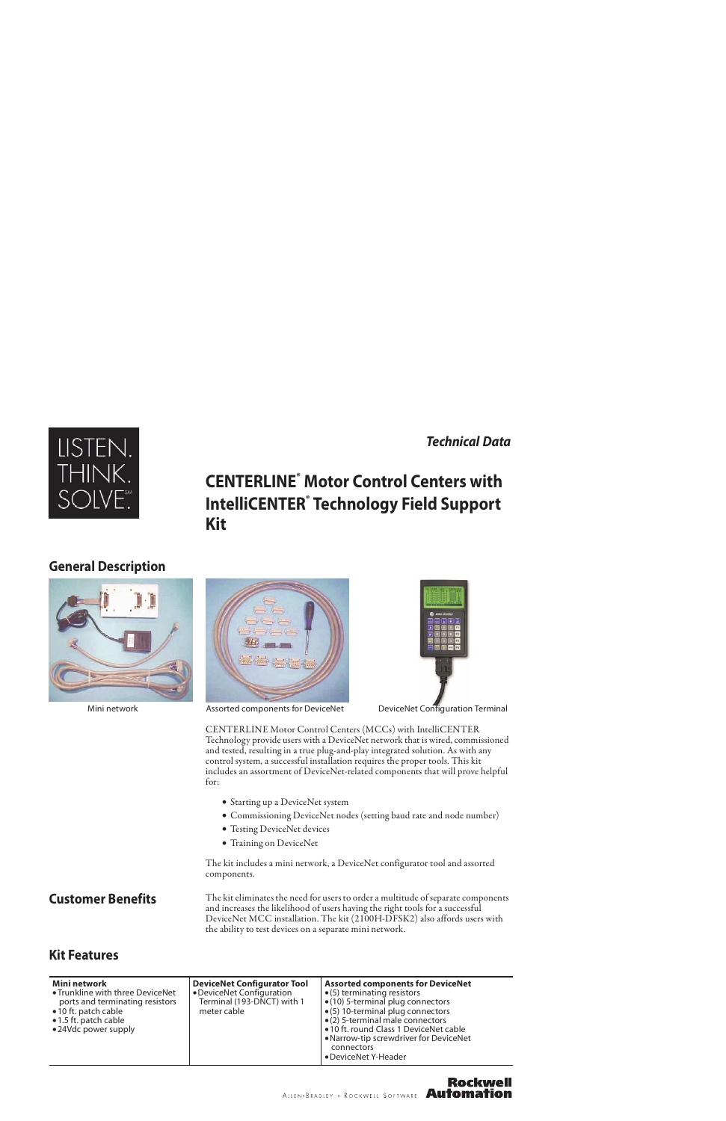### *Technical Data*



# **CENTERLINE® Motor Control Centers with IntelliCENTER® Technology Field Support Kit**

### **General Description**







Mini network Assorted components for DeviceNet DeviceNet Configuration Terminal

**Rockwell** 

CENTERLINE Motor Control Centers (MCCs) with IntelliCENTER Technology provide users with a DeviceNet network that is wired, commissioned and tested, resulting in a true plug-and-play integrated solution. As with any control system, a successful installation requires the proper tools. This kit includes an assortment of DeviceNet-related components that will prove helpful for:

- Starting up a DeviceNet system
- Commissioning DeviceNet nodes (setting baud rate and node number)
- Testing DeviceNet devices
- Training on DeviceNet

The kit includes a mini network, a DeviceNet configurator tool and assorted components.

**Customer Benefits** The kit eliminates the need for users to order a multitude of separate components and increases the likelihood of users having the right tools for a successful DeviceNet MCC installation. The kit (2100H-DFSK2) also affords users with the ability to test devices on a separate mini network.

## **Kit Features**

| Mini network<br>• Trunkline with three DeviceNet<br>ports and terminating resistors<br>•10 ft. patch cable<br>• 1.5 ft. patch cable<br>•24Vdc power supply | <b>DeviceNet Configurator Tool</b><br>• DeviceNet Configuration<br>Terminal (193-DNCT) with 1<br>meter cable | <b>Assorted components for DeviceNet</b><br>$\bullet$ (5) terminating resistors<br>$\bullet$ (10) 5-terminal plug connectors<br>• (5) 10-terminal plug connectors<br>• (2) 5-terminal male connectors<br>• 10 ft. round Class 1 DeviceNet cable<br>• Narrow-tip screwdriver for DeviceNet<br>connectors |
|------------------------------------------------------------------------------------------------------------------------------------------------------------|--------------------------------------------------------------------------------------------------------------|---------------------------------------------------------------------------------------------------------------------------------------------------------------------------------------------------------------------------------------------------------------------------------------------------------|
|                                                                                                                                                            |                                                                                                              | • DeviceNet Y-Header                                                                                                                                                                                                                                                                                    |